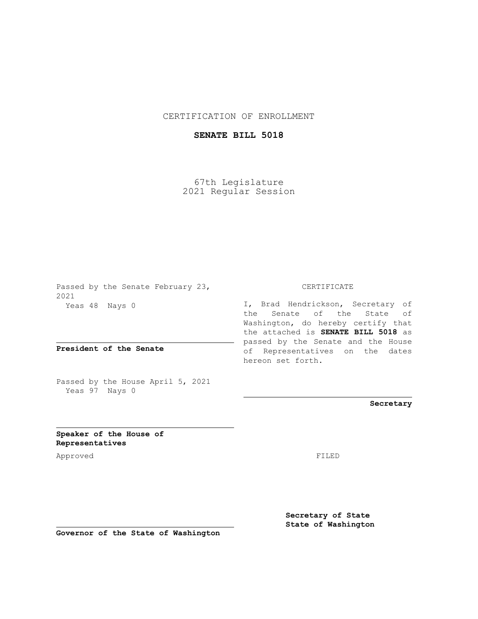## CERTIFICATION OF ENROLLMENT

## **SENATE BILL 5018**

67th Legislature 2021 Regular Session

Passed by the Senate February 23, 2021 Yeas 48 Nays 0

**President of the Senate**

Passed by the House April 5, 2021 Yeas 97 Nays 0

## CERTIFICATE

I, Brad Hendrickson, Secretary of the Senate of the State of Washington, do hereby certify that the attached is **SENATE BILL 5018** as passed by the Senate and the House of Representatives on the dates hereon set forth.

**Secretary**

**Speaker of the House of Representatives**

Approved FILED

**Secretary of State State of Washington**

**Governor of the State of Washington**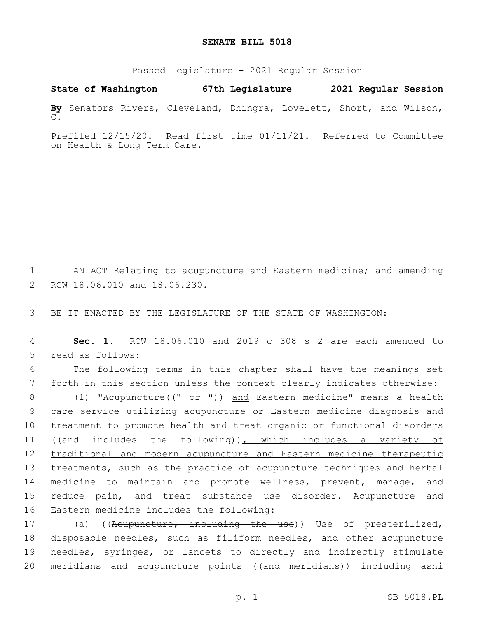## **SENATE BILL 5018**

Passed Legislature - 2021 Regular Session

**State of Washington 67th Legislature 2021 Regular Session By** Senators Rivers, Cleveland, Dhingra, Lovelett, Short, and Wilson, C.

Prefiled 12/15/20. Read first time 01/11/21. Referred to Committee on Health & Long Term Care.

1 AN ACT Relating to acupuncture and Eastern medicine; and amending 2 RCW 18.06.010 and 18.06.230.

3 BE IT ENACTED BY THE LEGISLATURE OF THE STATE OF WASHINGTON:

4 **Sec. 1.** RCW 18.06.010 and 2019 c 308 s 2 are each amended to 5 read as follows:

6 The following terms in this chapter shall have the meanings set 7 forth in this section unless the context clearly indicates otherwise:

8 (1) "Acupuncture((" or ")) and Eastern medicine" means a health 9 care service utilizing acupuncture or Eastern medicine diagnosis and 10 treatment to promote health and treat organic or functional disorders 11 ((and includes the following)), which includes a variety of 12 traditional and modern acupuncture and Eastern medicine therapeutic 13 treatments, such as the practice of acupuncture techniques and herbal 14 medicine to maintain and promote wellness, prevent, manage, and 15 reduce pain, and treat substance use disorder. Acupuncture and 16 Eastern medicine includes the following:

17 (a) ((Acupuncture, including the use)) Use of presterilized, 18 disposable needles, such as filiform needles, and other acupuncture 19 needles, syringes, or lancets to directly and indirectly stimulate 20 meridians and acupuncture points ((and meridians)) including ashi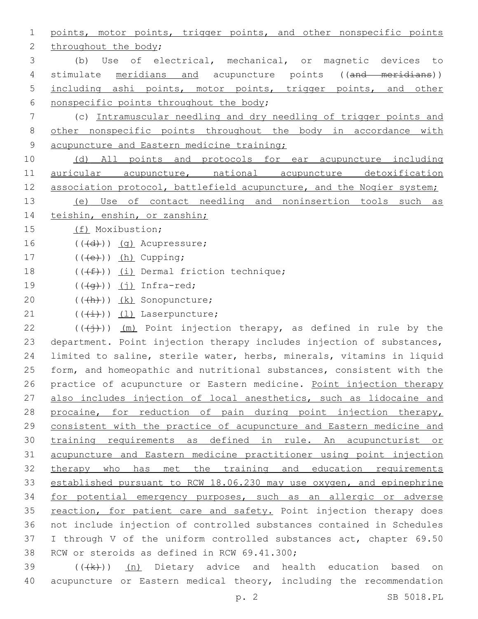1 points, motor points, trigger points, and other nonspecific points 2 throughout the body; 3 (b) Use of electrical, mechanical, or magnetic devices to 4 stimulate meridians and acupuncture points ((and meridians)) 5 including ashi points, motor points, trigger points, and other 6 nonspecific points throughout the body; 7 (c) Intramuscular needling and dry needling of trigger points and 8 other nonspecific points throughout the body in accordance with 9 acupuncture and Eastern medicine training; 10 (d) All points and protocols for ear acupuncture including 11 auricular acupuncture, national acupuncture detoxification 12 association protocol, battlefield acupuncture, and the Nogier system; 13 (e) Use of contact needling and noninsertion tools such as 14 teishin, enshin, or zanshin; 15 (f) Moxibustion;  $16$   $((\text{+d})^2)(\text{q})$  Acupressure; 17  $((\text{+e})^n)(\text{h})$  Cupping; 18  $((\text{#}))$  (i) Dermal friction technique; 19  $((\overline{q}))(j)$  Infra-red; 20 (((h))) (k) Sonopuncture; 21  $((\overleftrightarrow{t}))$   $(1)$  Laserpuncture; 22 ( $(\overrightarrow{(+)})$ ) (m) Point injection therapy, as defined in rule by the 23 department. Point injection therapy includes injection of substances, 24 limited to saline, sterile water, herbs, minerals, vitamins in liquid 25 form, and homeopathic and nutritional substances, consistent with the 26 practice of acupuncture or Eastern medicine. Point injection therapy 27 also includes injection of local anesthetics, such as lidocaine and 28 procaine, for reduction of pain during point injection therapy, 29 consistent with the practice of acupuncture and Eastern medicine and 30 training requirements as defined in rule. An acupuncturist or 31 acupuncture and Eastern medicine practitioner using point injection 32 therapy who has met the training and education requirements 33 established pursuant to RCW 18.06.230 may use oxygen, and epinephrine 34 for potential emergency purposes, such as an allergic or adverse 35 reaction, for patient care and safety. Point injection therapy does 36 not include injection of controlled substances contained in Schedules 37 I through V of the uniform controlled substances act, chapter 69.50 38 RCW or steroids as defined in RCW 69.41.300;  $39$  ( $(\frac{1}{k})$ ) (n) Dietary advice and health education based on

40 acupuncture or Eastern medical theory, including the recommendation